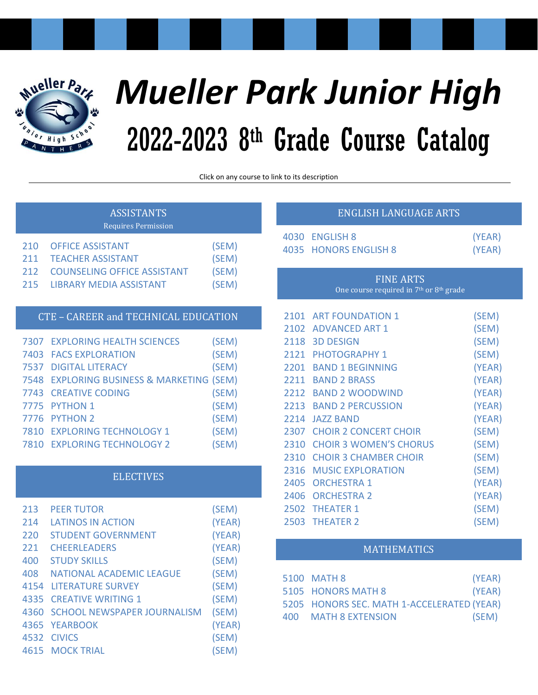

# *Mueller Park Junior High* 2022-2023 8 th Grade Course Catalog

Click on any course to link to its description

|            | <b>ASSISTANTS</b><br><b>Requires Permission</b>                      |                |      | <b>ENGLISH LANGUAC</b>                                     |
|------------|----------------------------------------------------------------------|----------------|------|------------------------------------------------------------|
| 210<br>211 | <b>OFFICE ASSISTANT</b><br><b>TEACHER ASSISTANT</b>                  | (SEM)<br>(SEM) | 4030 | <b>ENGLISH 8</b><br>4035 HONORS ENGLISH 8                  |
| 212<br>215 | <b>COUNSELING OFFICE ASSISTANT</b><br><b>LIBRARY MEDIA ASSISTANT</b> | (SEM)<br>(SEM) |      | <b>FINE ARTS</b><br>One course required in 7 <sup>th</sup> |
|            | CTE - CAREER and TECHNICAL EDUCATION                                 |                |      | 2101 ART FOUNDATION 1                                      |
| 7307       | <b>EXPLORING HEALTH SCIENCES</b>                                     | (SEM)          |      | 2102 ADVANCED ART 1<br>2118 3D DESIGN                      |
| 7403       | <b>FACS EXPLORATION</b>                                              | (SEM)          | 2121 | <b>PHOTOGRAPHY 1</b>                                       |
| 7537       | <b>DIGITAL LITERACY</b>                                              | (SEM)          | 2201 | <b>BAND 1 BEGINNING</b>                                    |
| 7548       | <b>EXPLORING BUSINESS &amp; MARKETING (SEM)</b>                      |                | 2211 | <b>BAND 2 BRASS</b>                                        |
| 7743       | <b>CREATIVE CODING</b>                                               | (SEM)          |      | 2212 BAND 2 WOODWIND                                       |
| 7775       | <b>PYTHON 1</b>                                                      | (SEM)          |      | 2213 BAND 2 PERCUSSION                                     |
| 7776       | <b>PYTHON 2</b>                                                      | (SEM)          |      | 2214 JAZZ BAND                                             |
| 7810       | <b>EXPLORING TECHNOLOGY 1</b>                                        | (SEM)          | 2307 | <b>CHOIR 2 CONCERT CHOIR</b>                               |
| 7810       | <b>EXPLORING TECHNOLOGY 2</b>                                        | (SEM)          | 2310 | <b>CHOIR 3 WOMEN'S CHORI</b>                               |
|            |                                                                      |                | 2310 | <b>CHOIR 3 CHAMBER CHOIR</b>                               |
|            | <b>ELECTIVES</b>                                                     |                | 2316 | <b>MUSIC EXPLORATION</b>                                   |
|            |                                                                      |                | 2405 | <b>ORCHESTRA 1</b>                                         |
|            |                                                                      |                | 2406 | <b>ORCHESTRA 2</b>                                         |
| 713        | <b>PFFR TUTOR</b>                                                    | (SFMA)         |      | 2502 THEATER 1                                             |

| 213 | <b>PEER TUTOR</b>                | (SEM)  |
|-----|----------------------------------|--------|
| 214 | <b>LATINOS IN ACTION</b>         | (YEAR) |
| 220 | <b>STUDENT GOVERNMENT</b>        | (YEAR) |
| 221 | <b>CHEERLEADERS</b>              | (YEAR) |
| 400 | <b>STUDY SKILLS</b>              | (SEM)  |
| 408 | <b>NATIONAL ACADEMIC LEAGUE</b>  | (SEM)  |
|     | 4154 LITERATURE SURVEY           | (SEM)  |
|     | 4335 CREATIVE WRITING 1          | (SEM)  |
|     | 4360 SCHOOL NEWSPAPER JOURNALISM | (SEM)  |
|     | 4365 YEARBOOK                    | (YEAR) |
|     | 4532 CIVICS                      | (SEM)  |
|     | <b>4615 MOCK TRIAL</b>           | (SEM)  |
|     |                                  |        |

# [ENGLISH](#page-5-3) LANGUAGE ARTS

| 4030 ENGLISH 8        | (YEAR) |
|-----------------------|--------|
| 4035 HONORS ENGLISH 8 | (YEAR) |

[One course required in 7](#page-5-5)<sup>th</sup> or 8<sup>th</sup> grade

| 2101 | <b>ART FOUNDATION 1</b>       | (SEM)  |
|------|-------------------------------|--------|
| 2102 | <b>ADVANCED ART 1</b>         | (SEM)  |
| 2118 | <b>3D DESIGN</b>              | (SEM)  |
| 2121 | <b>PHOTOGRAPHY 1</b>          | (SEM)  |
| 2201 | <b>BAND 1 BEGINNING</b>       | (YEAR) |
| 2211 | <b>BAND 2 BRASS</b>           | (YEAR) |
| 2212 | <b>BAND 2 WOODWIND</b>        | (YEAR) |
| 2213 | <b>BAND 2 PERCUSSION</b>      | (YEAR) |
| 2214 | <b>JAZZ BAND</b>              | (YEAR) |
| 2307 | <b>CHOIR 2 CONCERT CHOIR</b>  | (SEM)  |
| 2310 | <b>CHOIR 3 WOMEN'S CHORUS</b> | (SEM)  |
| 2310 | <b>CHOIR 3 CHAMBER CHOIR</b>  | (SEM)  |
| 2316 | <b>MUSIC EXPLORATION</b>      | (SEM)  |
| 2405 | <b>ORCHESTRA 1</b>            | (YEAR) |
| 2406 | <b>ORCHESTRA 2</b>            | (YEAR) |
|      | 2502 THEATER 1                | (SEM)  |
|      | 2503 THEATER 2                | (SEM)  |

# [MATHEMATICS](#page-8-0)

| 5100 MATH 8                                | (YEAR) |
|--------------------------------------------|--------|
| 5105 HONORS MATH 8                         | (YEAR) |
| 5205 HONORS SEC. MATH 1-ACCELERATED (YEAR) |        |
| 400 MATH 8 EXTENSION                       | (SEM)  |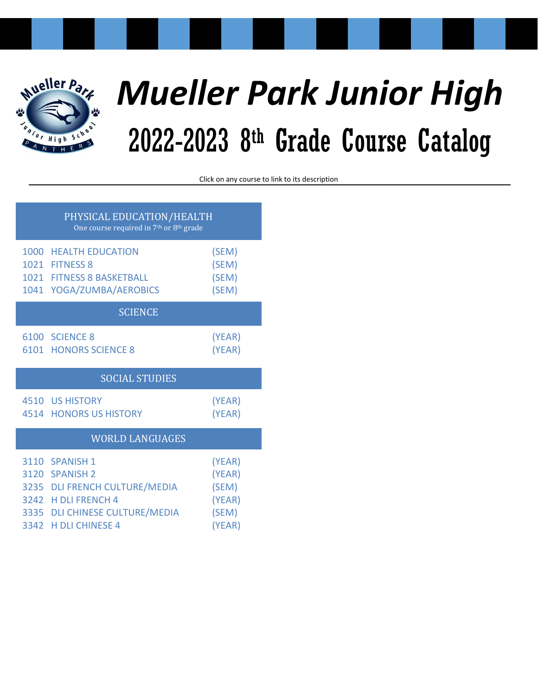

# *Mueller Park Junior High* 2022-2023 8 th Grade Course Catalog

Click on any course to link to its description

| PHYSICAL EDUCATION/HEALTH<br>One course required in 7 <sup>th</sup> or 8 <sup>th</sup> grade |                                                                                                                                                    |                                                        |  |
|----------------------------------------------------------------------------------------------|----------------------------------------------------------------------------------------------------------------------------------------------------|--------------------------------------------------------|--|
|                                                                                              | 1000 HEALTH EDUCATION<br>1021 FITNESS 8<br>1021 FITNESS 8 BASKETBALL<br>1041 YOGA/ZUMBA/AEROBICS                                                   | (SEM)<br>(SEM)<br>(SEM)<br>(SEM)                       |  |
| <b>SCIENCE</b>                                                                               |                                                                                                                                                    |                                                        |  |
|                                                                                              | 6100 SCIENCE 8<br><b>6101 HONORS SCIENCE 8</b>                                                                                                     | (YEAR)<br>(YEAR)                                       |  |
| <b>SOCIAL STUDIES</b>                                                                        |                                                                                                                                                    |                                                        |  |
|                                                                                              | <b>4510 US HISTORY</b><br><b>4514 HONORS US HISTORY</b>                                                                                            | (YEAR)<br>(YEAR)                                       |  |
|                                                                                              | <b>WORLD LANGUAGES</b>                                                                                                                             |                                                        |  |
|                                                                                              | 3110 SPANISH 1<br>3120 SPANISH 2<br>3235 DLI FRENCH CULTURE/MEDIA<br>3242 H DLI FRENCH 4<br>3335 DLI CHINESE CULTURE/MEDIA<br>3342 H DLI CHINESE 4 | (YEAR)<br>(YEAR)<br>(SEM)<br>(YEAR)<br>(SEM)<br>(YEAR) |  |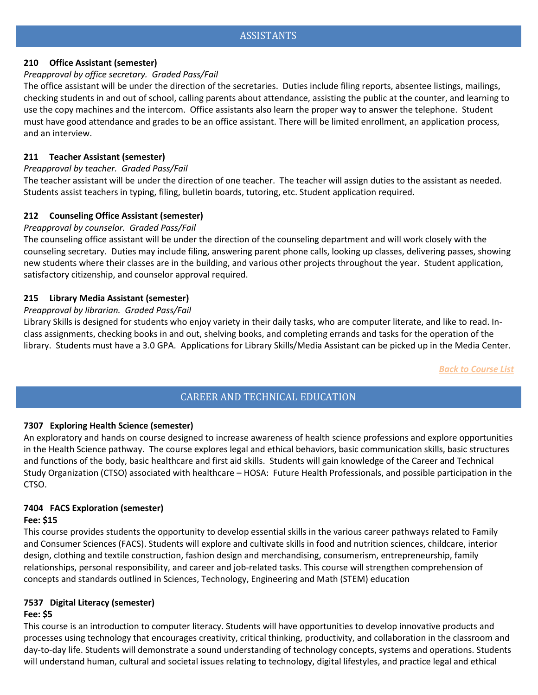## <span id="page-2-4"></span><span id="page-2-3"></span>**210 Office Assistant (semester)**

## *Preapproval by office secretary. Graded Pass/Fail*

The office assistant will be under the direction of the secretaries. Duties include filing reports, absentee listings, mailings, checking students in and out of school, calling parents about attendance, assisting the public at the counter, and learning to use the copy machines and the intercom. Office assistants also learn the proper way to answer the telephone. Student must have good attendance and grades to be an office assistant. There will be limited enrollment, an application process, and an interview.

## <span id="page-2-5"></span>**211 Teacher Assistant (semester)**

## *Preapproval by teacher. Graded Pass/Fail*

The teacher assistant will be under the direction of one teacher. The teacher will assign duties to the assistant as needed. Students assist teachers in typing, filing, bulletin boards, tutoring, etc. Student application required.

# <span id="page-2-6"></span>**212 Counseling Office Assistant (semester)**

## *Preapproval by counselor. Graded Pass/Fail*

The counseling office assistant will be under the direction of the counseling department and will work closely with the counseling secretary. Duties may include filing, answering parent phone calls, looking up classes, delivering passes, showing new students where their classes are in the building, and various other projects throughout the year. Student application, satisfactory citizenship, and counselor approval required.

## <span id="page-2-7"></span>**215 Library Media Assistant (semester)**

## *Preapproval by librarian. Graded Pass/Fail*

Library Skills is designed for students who enjoy variety in their daily tasks, who are computer literate, and like to read. Inclass assignments, checking books in and out, shelving books, and completing errands and tasks for the operation of the library. Students must have a 3.0 GPA. Applications for Library Skills/Media Assistant can be picked up in the Media Center.

*Back to Course List*

# CAREER AND TECHNICAL EDUCATION

# <span id="page-2-1"></span><span id="page-2-0"></span>**7307 Exploring Health Science (semester)**

An exploratory and hands on course designed to increase awareness of health science professions and explore opportunities in the Health Science pathway.  The course explores legal and ethical behaviors, basic communication skills, basic structures and functions of the body, basic healthcare and first aid skills.  Students will gain knowledge of the Career and Technical Study Organization (CTSO) associated with healthcare – HOSA:  Future Health Professionals, and possible participation in the CTSO. 

# **7404 FACS Exploration (semester)**

## **Fee: \$15**

<span id="page-2-2"></span>This course provides students the opportunity to develop essential skills in the various career pathways related to Family and Consumer Sciences (FACS). Students will explore and cultivate skills in food and nutrition sciences, childcare, interior design, clothing and textile construction, fashion design and merchandising, consumerism, entrepreneurship, family relationships, personal responsibility, and career and job-related tasks. This course will strengthen comprehension of concepts and standards outlined in Sciences, Technology, Engineering and Math (STEM) education

# **7537 Digital Literacy (semester)**

## **Fee: \$5**

This course is an introduction to computer literacy. Students will have opportunities to develop innovative products and processes using technology that encourages creativity, critical thinking, productivity, and collaboration in the classroom and day-to-day life. Students will demonstrate a sound understanding of technology concepts, systems and operations. Students will understand human, cultural and societal issues relating to technology, digital lifestyles, and practice legal and ethical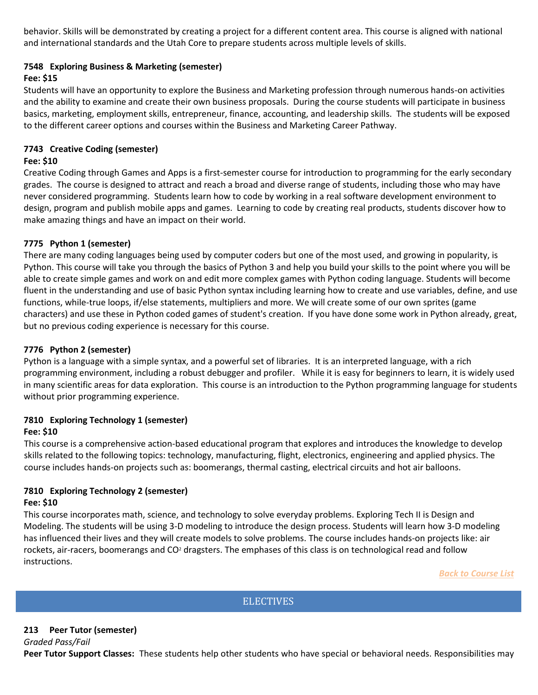behavior. Skills will be demonstrated by creating a project for a different content area. This course is aligned with national and international standards and the Utah Core to prepare students across multiple levels of skills.

# <span id="page-3-0"></span>**7548 Exploring Business & Marketing (semester)**

# **Fee: \$15**

Students will have an opportunity to explore the Business and Marketing profession through numerous hands-on activities and the ability to examine and create their own business proposals. During the course students will participate in business basics, marketing, employment skills, entrepreneur, finance, accounting, and leadership skills. The students will be exposed to the different career options and courses within the Business and Marketing Career Pathway.

# **7743 Creative Coding (semester)**

# **Fee: \$10**

Creative Coding through Games and Apps is a first-semester course for introduction to programming for the early secondary grades. The course is designed to attract and reach a broad and diverse range of students, including those who may have never considered programming. Students learn how to code by working in a real software development environment to design, program and publish mobile apps and games. Learning to code by creating real products, students discover how to make amazing things and have an impact on their world.

# **7775 Python 1 (semester)**

<span id="page-3-1"></span>There are many coding languages being used by computer coders but one of the most used, and growing in popularity, is Python. This course will take you through the basics of Python 3 and help you build your skills to the point where you will be able to create simple games and work on and edit more complex games with Python coding language. Students will become fluent in the understanding and use of basic Python syntax including learning how to create and use variables, define, and use functions, while-true loops, if/else statements, multipliers and more. We will create some of our own sprites (game characters) and use these in Python coded games of student's creation. If you have done some work in Python already, great, but no previous coding experience is necessary for this course.

# **7776 Python 2 (semester)**

Python is a language with a simple syntax, and a powerful set of libraries. It is an interpreted language, with a rich programming environment, including a robust debugger and profiler. While it is easy for beginners to learn, it is widely used in many scientific areas for data exploration. This course is an introduction to the Python programming language for students without prior programming experience.

# **7810 Exploring Technology 1 (semester)**

# **Fee: \$10**

<span id="page-3-2"></span>This course is a comprehensive action-based educational program that explores and introduces the knowledge to develop skills related to the following topics: technology, manufacturing, flight, electronics, engineering and applied physics. The course includes hands-on projects such as: boomerangs, thermal casting, electrical circuits and hot air balloons.

#### **7810 Exploring Technology 2 (semester) Fee: \$10**

This course incorporates math, science, and technology to solve everyday problems. Exploring Tech II is Design and Modeling. The students will be using 3-D modeling to introduce the design process. Students will learn how 3-D modeling has influenced their lives and they will create models to solve problems. The course includes hands-on projects like: air rockets, air-racers, boomerangs and CO<sup>2</sup> dragsters. The emphases of this class is on technological read and follow instructions.

*Back to Course List*

# **ELECTIVES**

# <span id="page-3-4"></span><span id="page-3-3"></span>**213 Peer Tutor (semester)**

*Graded Pass/Fail* **Peer Tutor Support Classes:** These students help other students who have special or behavioral needs. Responsibilities may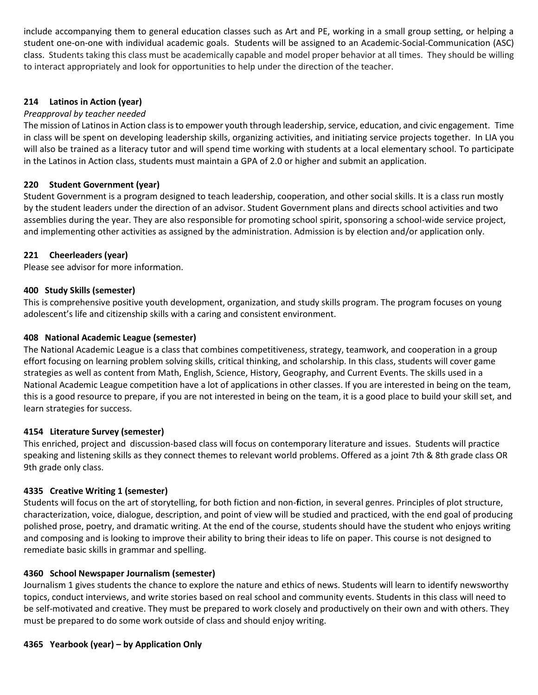include accompanying them to general education classes such as Art and PE, working in a small group setting, or helping a student one-on-one with individual academic goals. Students will be assigned to an Academic-Social-Communication (ASC) class. Students taking this class must be academically capable and model proper behavior at all times. They should be willing to interact appropriately and look for opportunities to help under the direction of the teacher.

## <span id="page-4-0"></span>**214 Latinos in Action (year)**

## *Preapproval by teacher needed*

The mission of Latinos in Action class is to empower youth through leadership, service, education, and civic engagement. Time in class will be spent on developing leadership skills, organizing activities, and initiating service projects together. In LIA you will also be trained as a literacy tutor and will spend time working with students at a local elementary school. To participate in the Latinos in Action class, students must maintain a GPA of 2.0 or higher and submit an application.

## **220 Student Government (year)**

Student Government is a program designed to teach leadership, cooperation, and other social skills. It is a class run mostly by the student leaders under the direction of an advisor. Student Government plans and directs school activities and two assemblies during the year. They are also responsible for promoting school spirit, sponsoring a school-wide service project, and implementing other activities as assigned by the administration. Admission is by election and/or application only.

## <span id="page-4-1"></span>**221 Cheerleaders (year)**

Please see advisor for more information.

#### **400 Study Skills (semester)**

This is comprehensive positive youth development, organization, and study skills program. The program focuses on young adolescent's life and citizenship skills with a caring and consistent environment.

#### **408 National Academic League (semester)**

The National Academic League is a class that combines competitiveness, strategy, teamwork, and cooperation in a group effort focusing on learning problem solving skills, critical thinking, and scholarship. In this class, students will cover game strategies as well as content from Math, English, Science, History, Geography, and Current Events. The skills used in a National Academic League competition have a lot of applications in other classes. If you are interested in being on the team, this is a good resource to prepare, if you are not interested in being on the team, it is a good place to build your skill set, and learn strategies for success.  

#### **4154 Literature Survey (semester)**

<span id="page-4-2"></span>This enriched, project and discussion-based class will focus on contemporary literature and issues. Students will practice speaking and listening skills as they connect themes to relevant world problems. Offered as a joint 7th & 8th grade class OR 9th grade only class.

#### **4335 Creative Writing 1 (semester)**

Students will focus on the art of storytelling, for both fiction and non-**f**iction, in several genres. Principles of plot structure, characterization, voice, dialogue, description, and point of view will be studied and practiced, with the end goal of producing polished prose, poetry, and dramatic writing. At the end of the course, students should have the student who enjoys writing and composing and is looking to improve their ability to bring their ideas to life on paper. This course is not designed to remediate basic skills in grammar and spelling.

#### **4360 School Newspaper Journalism (semester)**

Journalism 1 gives students the chance to explore the nature and ethics of news. Students will learn to identify newsworthy topics, conduct interviews, and write stories based on real school and community events. Students in this class will need to be self-motivated and creative. They must be prepared to work closely and productively on their own and with others. They must be prepared to do some work outside of class and should enjoy writing.

#### **4365 Yearbook (year) – by Application Only**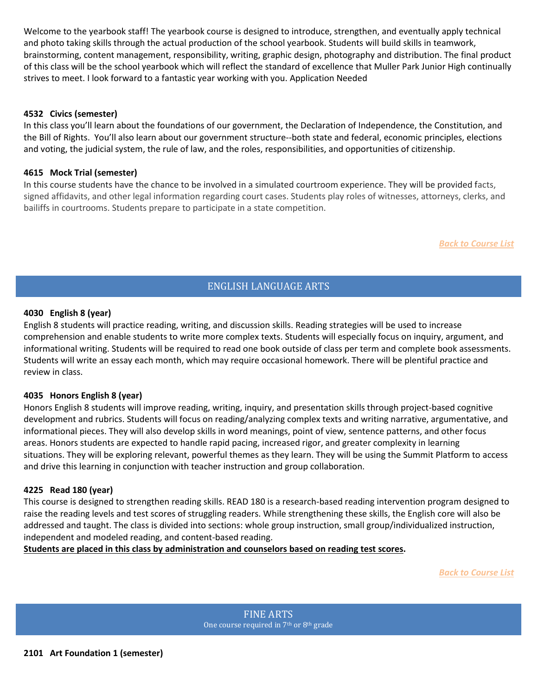<span id="page-5-1"></span>Welcome to the yearbook staff! The yearbook course is designed to introduce, strengthen, and eventually apply technical and photo taking skills through the actual production of the school yearbook. Students will build skills in teamwork, brainstorming, content management, responsibility, writing, graphic design, photography and distribution. The final product of this class will be the school yearbook which will reflect the standard of excellence that Muller Park Junior High continually strives to meet. I look forward to a fantastic year working with you. Application Needed

#### <span id="page-5-2"></span>**4532 Civics (semester)**

In this class you'll learn about the foundations of our government, the Declaration of Independence, the Constitution, and the Bill of Rights. You'll also learn about our government structure--both state and federal, economic principles, elections and voting, the judicial system, the rule of law, and the roles, responsibilities, and opportunities of citizenship.

#### **4615 Mock Trial (semester)**

In this course students have the chance to be involved in a simulated courtroom experience. They will be provided facts, signed affidavits, and other legal information regarding court cases. Students play roles of witnesses, attorneys, clerks, and bailiffs in courtrooms. Students prepare to participate in a state competition.

*Back to Course List*

# ENGLISH LANGUAGE ARTS

#### <span id="page-5-4"></span><span id="page-5-3"></span>**4030 English 8 (year)**

<span id="page-5-0"></span>English 8 students will practice reading, writing, and discussion skills. Reading strategies will be used to increase comprehension and enable students to write more complex texts. Students will especially focus on inquiry, argument, and informational writing. Students will be required to read one book outside of class per term and complete book assessments. Students will write an essay each month, which may require occasional homework. There will be plentiful practice and review in class.

#### **4035 Honors English 8 (year)**

Honors English 8 students will improve reading, writing, inquiry, and presentation skills through project-based cognitive development and rubrics. Students will focus on reading/analyzing complex texts and writing narrative, argumentative, and informational pieces. They will also develop skills in word meanings, point of view, sentence patterns, and other focus areas. Honors students are expected to handle rapid pacing, increased rigor, and greater complexity in learning situations. They will be exploring relevant, powerful themes as they learn. They will be using the Summit Platform to access and drive this learning in conjunction with teacher instruction and group collaboration. 

#### **4225 Read 180 (year)**

This course is designed to strengthen reading skills. READ 180 is a research-based reading intervention program designed to raise the reading levels and test scores of struggling readers. While strengthening these skills, the English core will also be addressed and taught. The class is divided into sections: whole group instruction, small group/individualized instruction, independent and modeled reading, and content-based reading.

<span id="page-5-6"></span><span id="page-5-5"></span>**Students are placed in this class by administration and counselors based on reading test scores.**

*Back to Course List*

FINE ARTS One course required in 7<sup>th</sup> or 8<sup>th</sup> grade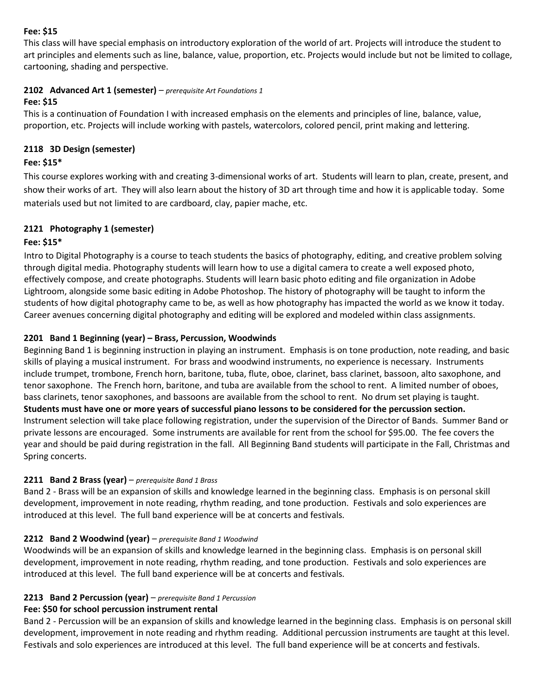# **Fee: \$15**

<span id="page-6-0"></span>This class will have special emphasis on introductory exploration of the world of art. Projects will introduce the student to art principles and elements such as line, balance, value, proportion, etc. Projects would include but not be limited to collage, cartooning, shading and perspective.

# **2102 Advanced Art 1 (semester)** – *prerequisite Art Foundations 1*

# **Fee: \$15**

<span id="page-6-1"></span>This is a continuation of Foundation I with increased emphasis on the elements and principles of line, balance, value, proportion, etc. Projects will include working with pastels, watercolors, colored pencil, print making and lettering.

# **2118 3D Design (semester)**

# **Fee: \$15\***

This course explores working with and creating 3-dimensional works of art. Students will learn to plan, create, present, and show their works of art. They will also learn about the history of 3D art through time and how it is applicable today. Some materials used but not limited to are cardboard, clay, papier mache, etc.

# **2121 Photography 1 (semester)**

# **Fee: \$15\***

Intro to Digital Photography is a course to teach students the basics of photography, editing, and creative problem solving through digital media. Photography students will learn how to use a digital camera to create a well exposed photo, effectively compose, and create photographs. Students will learn basic photo editing and file organization in Adobe Lightroom, alongside some basic editing in Adobe Photoshop. The history of photography will be taught to inform the students of how digital photography came to be, as well as how photography has impacted the world as we know it today. Career avenues concerning digital photography and editing will be explored and modeled within class assignments.

# **2201 Band 1 Beginning (year) – Brass, Percussion, Woodwinds**

Beginning Band 1 is beginning instruction in playing an instrument. Emphasis is on tone production, note reading, and basic skills of playing a musical instrument. For brass and woodwind instruments, no experience is necessary. Instruments include trumpet, trombone, French horn, baritone, tuba, flute, oboe, clarinet, bass clarinet, bassoon, alto saxophone, and tenor saxophone. The French horn, baritone, and tuba are available from the school to rent. A limited number of oboes, bass clarinets, tenor saxophones, and bassoons are available from the school to rent. No drum set playing is taught. **Students must have one or more years of successful piano lessons to be considered for the percussion section.** Instrument selection will take place following registration, under the supervision of the Director of Bands. Summer Band or private lessons are encouraged. Some instruments are available for rent from the school for \$95.00. The fee covers the year and should be paid during registration in the fall. All Beginning Band students will participate in the Fall, Christmas and Spring concerts.

# <span id="page-6-2"></span>**2211 Band 2 Brass (year)** – *prerequisite Band 1 Brass*

Band 2 - Brass will be an expansion of skills and knowledge learned in the beginning class. Emphasis is on personal skill development, improvement in note reading, rhythm reading, and tone production. Festivals and solo experiences are introduced at this level. The full band experience will be at concerts and festivals.

# <span id="page-6-3"></span>**2212 Band 2 Woodwind (year)** – *prerequisite Band 1 Woodwind*

Woodwinds will be an expansion of skills and knowledge learned in the beginning class. Emphasis is on personal skill development, improvement in note reading, rhythm reading, and tone production. Festivals and solo experiences are introduced at this level. The full band experience will be at concerts and festivals.

# <span id="page-6-4"></span>**2213 Band 2 Percussion (year)** – *prerequisite Band 1 Percussion*

# **Fee: \$50 for school percussion instrument rental**

<span id="page-6-5"></span>Band 2 - Percussion will be an expansion of skills and knowledge learned in the beginning class. Emphasis is on personal skill development, improvement in note reading and rhythm reading. Additional percussion instruments are taught at this level. Festivals and solo experiences are introduced at this level. The full band experience will be at concerts and festivals.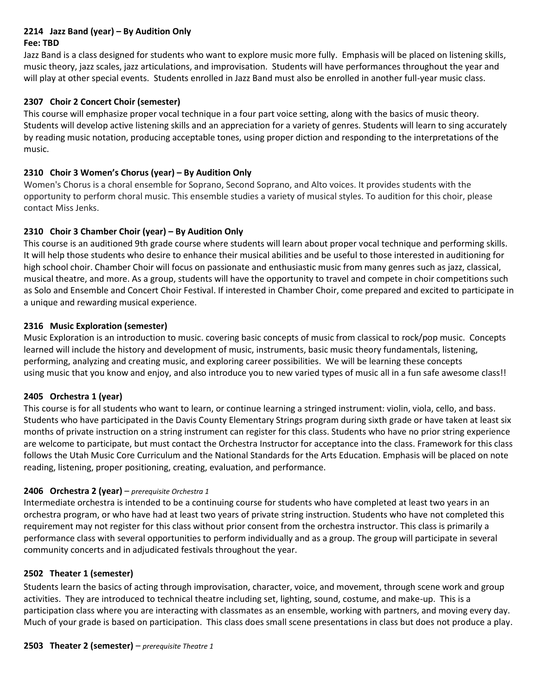# **2214 Jazz Band (year) – By Audition Only**

## **Fee: TBD**

Jazz Band is a class designed for students who want to explore music more fully. Emphasis will be placed on listening skills, music theory, jazz scales, jazz articulations, and improvisation. Students will have performances throughout the year and will play at other special events. Students enrolled in Jazz Band must also be enrolled in another full-year music class.

## <span id="page-7-0"></span>**2307 Choir 2 Concert Choir (semester)**

This course will emphasize proper vocal technique in a four part voice setting, along with the basics of music theory. Students will develop active listening skills and an appreciation for a variety of genres. Students will learn to sing accurately by reading music notation, producing acceptable tones, using proper diction and responding to the interpretations of the music.

## **2310 Choir 3 Women's Chorus (year) – By Audition Only**

Women's Chorus is a choral ensemble for Soprano, Second Soprano, and Alto voices. It provides students with the opportunity to perform choral music. This ensemble studies a variety of musical styles. To audition for this choir, please contact Miss Jenks.

# **2310 Choir 3 Chamber Choir (year) – By Audition Only**

This course is an auditioned 9th grade course where students will learn about proper vocal technique and performing skills. It will help those students who desire to enhance their musical abilities and be useful to those interested in auditioning for high school choir. Chamber Choir will focus on passionate and enthusiastic music from many genres such as jazz, classical, musical theatre, and more. As a group, students will have the opportunity to travel and compete in choir competitions such as Solo and Ensemble and Concert Choir Festival. If interested in Chamber Choir, come prepared and excited to participate in a unique and rewarding musical experience.

## **2316 Music Exploration (semester)**

Music Exploration is an introduction to music. covering basic concepts of music from classical to rock/pop music. Concepts learned will include the history and development of music, instruments, basic music theory fundamentals, listening, performing, analyzing and creating music, and exploring career possibilities. We will be learning these concepts using music that you know and enjoy, and also introduce you to new varied types of music all in a fun safe awesome class!!

## <span id="page-7-1"></span>**2405 Orchestra 1 (year)**

<span id="page-7-2"></span>This course is for all students who want to learn, or continue learning a stringed instrument: violin, viola, cello, and bass. Students who have participated in the Davis County Elementary Strings program during sixth grade or have taken at least six months of private instruction on a string instrument can register for this class. Students who have no prior string experience are welcome to participate, but must contact the Orchestra Instructor for acceptance into the class. Framework for this class follows the Utah Music Core Curriculum and the National Standards for the Arts Education. Emphasis will be placed on note reading, listening, proper positioning, creating, evaluation, and performance.

## **2406 Orchestra 2 (year)** – *prerequisite Orchestra 1*

<span id="page-7-3"></span>Intermediate orchestra is intended to be a continuing course for students who have completed at least two years in an orchestra program, or who have had at least two years of private string instruction. Students who have not completed this requirement may not register for this class without prior consent from the orchestra instructor. This class is primarily a performance class with several opportunities to perform individually and as a group. The group will participate in several community concerts and in adjudicated festivals throughout the year.

## **2502 Theater 1 (semester)**

Students learn the basics of acting through improvisation, character, voice, and movement, through scene work and group activities. They are introduced to technical theatre including set, lighting, sound, costume, and make-up. This is a participation class where you are interacting with classmates as an ensemble, working with partners, and moving every day. Much of your grade is based on participation. This class does small scene presentations in class but does not produce a play.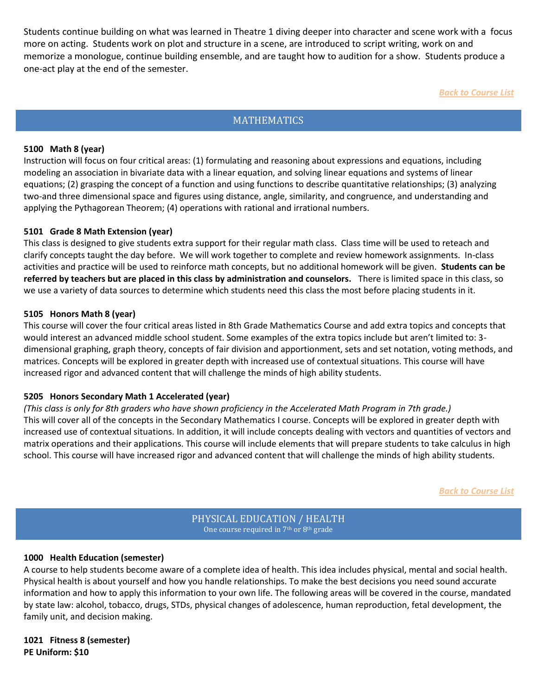Students continue building on what was learned in Theatre 1 diving deeper into character and scene work with a focus more on acting. Students work on plot and structure in a scene, are introduced to script writing, work on and memorize a monologue, continue building ensemble, and are taught how to audition for a show. Students produce a one-act play at the end of the semester.

*Back to Course List*

# **MATHEMATICS**

## <span id="page-8-1"></span><span id="page-8-0"></span>**5100 Math 8 (year)**

Instruction will focus on four critical areas: (1) formulating and reasoning about expressions and equations, including modeling an association in bivariate data with a linear equation, and solving linear equations and systems of linear equations; (2) grasping the concept of a function and using functions to describe quantitative relationships; (3) analyzing two-and three dimensional space and figures using distance, angle, similarity, and congruence, and understanding and applying the Pythagorean Theorem; (4) operations with rational and irrational numbers.

## **5101 Grade 8 Math Extension (year)**

This class is designed to give students extra support for their regular math class. Class time will be used to reteach and clarify concepts taught the day before. We will work together to complete and review homework assignments. In-class activities and practice will be used to reinforce math concepts, but no additional homework will be given. **Students can be referred by teachers but are placed in this class by administration and counselors.** There is limited space in this class, so we use a variety of data sources to determine which students need this class the most before placing students in it.

## **5105 Honors Math 8 (year)**

This course will cover the four critical areas listed in 8th Grade Mathematics Course and add extra topics and concepts that would interest an advanced middle school student. Some examples of the extra topics include but aren't limited to: 3 dimensional graphing, graph theory, concepts of fair division and apportionment, sets and set notation, voting methods, and matrices. Concepts will be explored in greater depth with increased use of contextual situations. This course will have increased rigor and advanced content that will challenge the minds of high ability students.

# **5205 Honors Secondary Math 1 Accelerated (year)**

<span id="page-8-2"></span>*(This class is only for 8th graders who have shown proficiency in the Accelerated Math Program in 7th grade.)* This will cover all of the concepts in the Secondary Mathematics I course. Concepts will be explored in greater depth with increased use of contextual situations. In addition, it will include concepts dealing with vectors and quantities of vectors and matrix operations and their applications. This course will include elements that will prepare students to take calculus in high school. This course will have increased rigor and advanced content that will challenge the minds of high ability students.

*Back to Course List*

PHYSICAL EDUCATION / HEALTH One course required in 7<sup>th</sup> or 8<sup>th</sup> grade

## <span id="page-8-4"></span><span id="page-8-3"></span>**1000 Health Education (semester)**

<span id="page-8-5"></span>A course to help students become aware of a complete idea of health. This idea includes physical, mental and social health. Physical health is about yourself and how you handle relationships. To make the best decisions you need sound accurate information and how to apply this information to your own life. The following areas will be covered in the course, mandated by state law: alcohol, tobacco, drugs, STDs, physical changes of adolescence, human reproduction, fetal development, the family unit, and decision making.

**1021 Fitness 8 (semester) PE Uniform: \$10**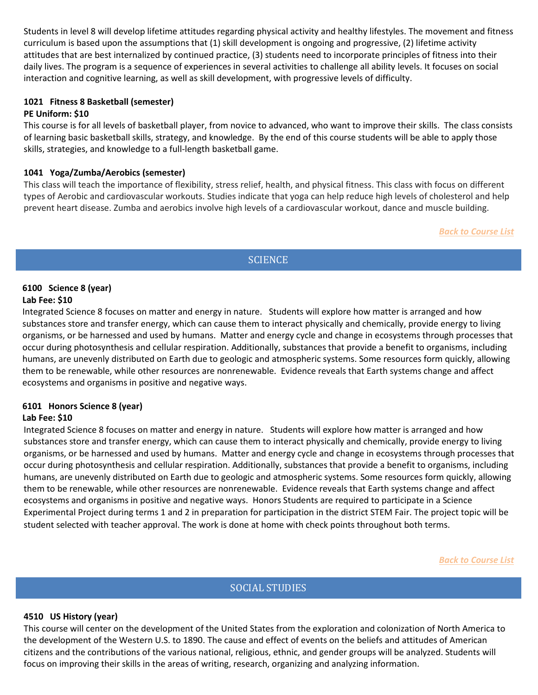<span id="page-9-0"></span>Students in level 8 will develop lifetime attitudes regarding physical activity and healthy lifestyles. The movement and fitness curriculum is based upon the assumptions that (1) skill development is ongoing and progressive, (2) lifetime activity attitudes that are best internalized by continued practice, (3) students need to incorporate principles of fitness into their daily lives. The program is a sequence of experiences in several activities to challenge all ability levels. It focuses on social interaction and cognitive learning, as well as skill development, with progressive levels of difficulty.

## **1021 Fitness 8 Basketball (semester)**

## **PE Uniform: \$10**

This course is for all levels of basketball player, from novice to advanced, who want to improve their skills. The class consists of learning basic basketball skills, strategy, and knowledge. By the end of this course students will be able to apply those skills, strategies, and knowledge to a full-length basketball game.

## **1041 Yoga/Zumba/Aerobics (semester)**

This class will teach the importance of flexibility, stress relief, health, and physical fitness. This class with focus on different types of Aerobic and cardiovascular workouts. Studies indicate that yoga can help reduce high levels of cholesterol and help prevent heart disease. Zumba and aerobics involve high levels of a cardiovascular workout, dance and muscle building.

*Back to Course List*

# **SCIENCE**

## <span id="page-9-2"></span><span id="page-9-1"></span> **6100 Science 8 (year) Lab Fee: \$10**

Integrated Science 8 focuses on matter and energy in nature. Students will explore how matter is arranged and how substances store and transfer energy, which can cause them to interact physically and chemically, provide energy to living organisms, or be harnessed and used by humans. Matter and energy cycle and change in ecosystems through processes that occur during photosynthesis and cellular respiration. Additionally, substances that provide a benefit to organisms, including humans, are unevenly distributed on Earth due to geologic and atmospheric systems. Some resources form quickly, allowing them to be renewable, while other resources are nonrenewable. Evidence reveals that Earth systems change and affect ecosystems and organisms in positive and negative ways.

# **6101 Honors Science 8 (year)**

# **Lab Fee: \$10**

Integrated Science 8 focuses on matter and energy in nature. Students will explore how matter is arranged and how substances store and transfer energy, which can cause them to interact physically and chemically, provide energy to living organisms, or be harnessed and used by humans. Matter and energy cycle and change in ecosystems through processes that occur during photosynthesis and cellular respiration. Additionally, substances that provide a benefit to organisms, including humans, are unevenly distributed on Earth due to geologic and atmospheric systems. Some resources form quickly, allowing them to be renewable, while other resources are nonrenewable. Evidence reveals that Earth systems change and affect ecosystems and organisms in positive and negative ways. Honors Students are required to participate in a Science Experimental Project during terms 1 and 2 in preparation for participation in the district STEM Fair. The project topic will be student selected with teacher approval. The work is done at home with check points throughout both terms.

*Back to Course List*

# SOCIAL STUDIES

## <span id="page-9-4"></span><span id="page-9-3"></span>**4510 US History (year)**

This course will center on the development of the United States from the exploration and colonization of North America to the development of the Western U.S. to 1890. The cause and effect of events on the beliefs and attitudes of American citizens and the contributions of the various national, religious, ethnic, and gender groups will be analyzed. Students will focus on improving their skills in the areas of writing, research, organizing and analyzing information.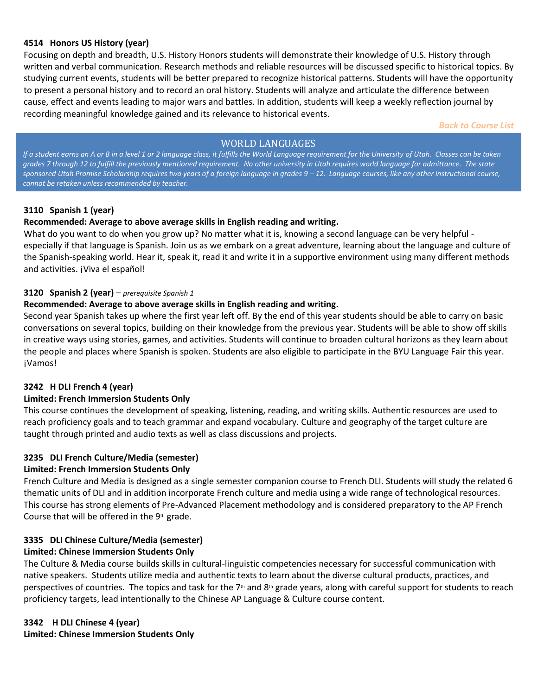## **4514 Honors US History (year)**

Focusing on depth and breadth, U.S. History Honors students will demonstrate their knowledge of U.S. History through written and verbal communication. Research methods and reliable resources will be discussed specific to historical topics. By studying current events, students will be better prepared to recognize historical patterns. Students will have the opportunity to present a personal history and to record an oral history. Students will analyze and articulate the difference between cause, effect and events leading to major wars and battles. In addition, students will keep a weekly reflection journal by recording meaningful knowledge gained and its relevance to historical events.

*Back to Course List*

# WORLD LANGUAGES

<span id="page-10-0"></span>*If a student earns an A or B in a level 1 or 2 language class, it fulfills the World Language requirement for the University of Utah. Classes can be taken grades 7 through 12 to fulfill the previously mentioned requirement. No other university in Utah requires world language for admittance. The state*  sponsored Utah Promise Scholarship requires two years of a foreign language in grades  $9 - 12$ . Language courses, like any other instructional course, *cannot be retaken unless recommended by teacher.*

# <span id="page-10-1"></span>**3110 Spanish 1 (year)**

# **Recommended: Average to above average skills in English reading and writing.**

<span id="page-10-2"></span>What do you want to do when you grow up? No matter what it is, knowing a second language can be very helpful especially if that language is Spanish. Join us as we embark on a great adventure, learning about the language and culture of the Spanish-speaking world. Hear it, speak it, read it and write it in a supportive environment using many different methods and activities. ¡Viva el español!

## **3120 Spanish 2 (year)** – *prerequisite Spanish 1*

## **Recommended: Average to above average skills in English reading and writing.**

<span id="page-10-3"></span>Second year Spanish takes up where the first year left off. By the end of this year students should be able to carry on basic conversations on several topics, building on their knowledge from the previous year. Students will be able to show off skills in creative ways using stories, games, and activities. Students will continue to broaden cultural horizons as they learn about the people and places where Spanish is spoken. Students are also eligible to participate in the BYU Language Fair this year. ¡Vamos!

## **3242 H DLI French 4 (year)**

## <span id="page-10-5"></span>**Limited: French Immersion Students Only**

This course continues the development of speaking, listening, reading, and writing skills. Authentic resources are used to reach proficiency goals and to teach grammar and expand vocabulary. Culture and geography of the target culture are taught through printed and audio texts as well as class discussions and projects.

# **3235 DLI French Culture/Media (semester)**

## **Limited: French Immersion Students Only**

French Culture and Media is designed as a single semester companion course to French DLI. Students will study the related 6 thematic units of DLI and in addition incorporate French culture and media using a wide range of technological resources. This course has strong elements of Pre-Advanced Placement methodology and is considered preparatory to the AP French Course that will be offered in the 9th grade.

# **3335 DLI Chinese Culture/Media (semester)**

# **Limited: Chinese Immersion Students Only**

<span id="page-10-4"></span>The Culture & Media course builds skills in cultural-linguistic competencies necessary for successful communication with native speakers. Students utilize media and authentic texts to learn about the diverse cultural products, practices, and perspectives of countries. The topics and task for the  $7<sup>th</sup>$  and  $8<sup>th</sup>$  grade years, along with careful support for students to reach proficiency targets, lead intentionally to the Chinese AP Language & Culture course content.

# **3342 H DLI Chinese 4 (year) Limited: Chinese Immersion Students Only**